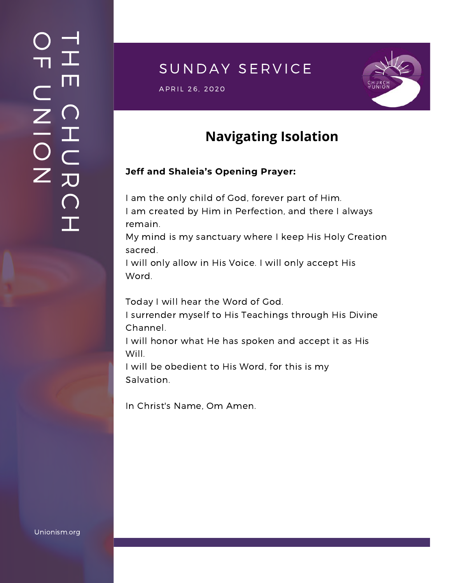### $\overline{\phantom{a}}$ H m.  $\bigcap$ H  $\subset$ 刀  $\bigcap$  $\mathbf{I}$  .  $\bigcirc$  $\blacksquare$  $\subset$  $\mathsf{Z}^+$ <u>In the Second Contract of the Second Contract of the International Second Contract of the International Second Contract of the International Second Contract of the International Second Contract of the International Second</u>  $\bigcirc$  $\mathsf{Z}^+$

# SUNDAY SERVICE

 $\mathsf{APRIL}$  26, 2020



# **Navigating Isolation**

### **Jeff and Shaleia's Opening Prayer:**

I am the only child of God, forever part of Him. I am created by Him in Perfection, and there I always remain.

My mind is my sanctuary where I keep His Holy Creation sacred.

I will only allow in His Voice. I will only accept His Word.

Today I will hear the Word of God.

I surrender myself to His Teachings through His Divine Channel.

I will honor what He has spoken and accept it as His Will.

I will be obedient to His Word, for this is my Salvation.

In Christ's Name, Om Amen.